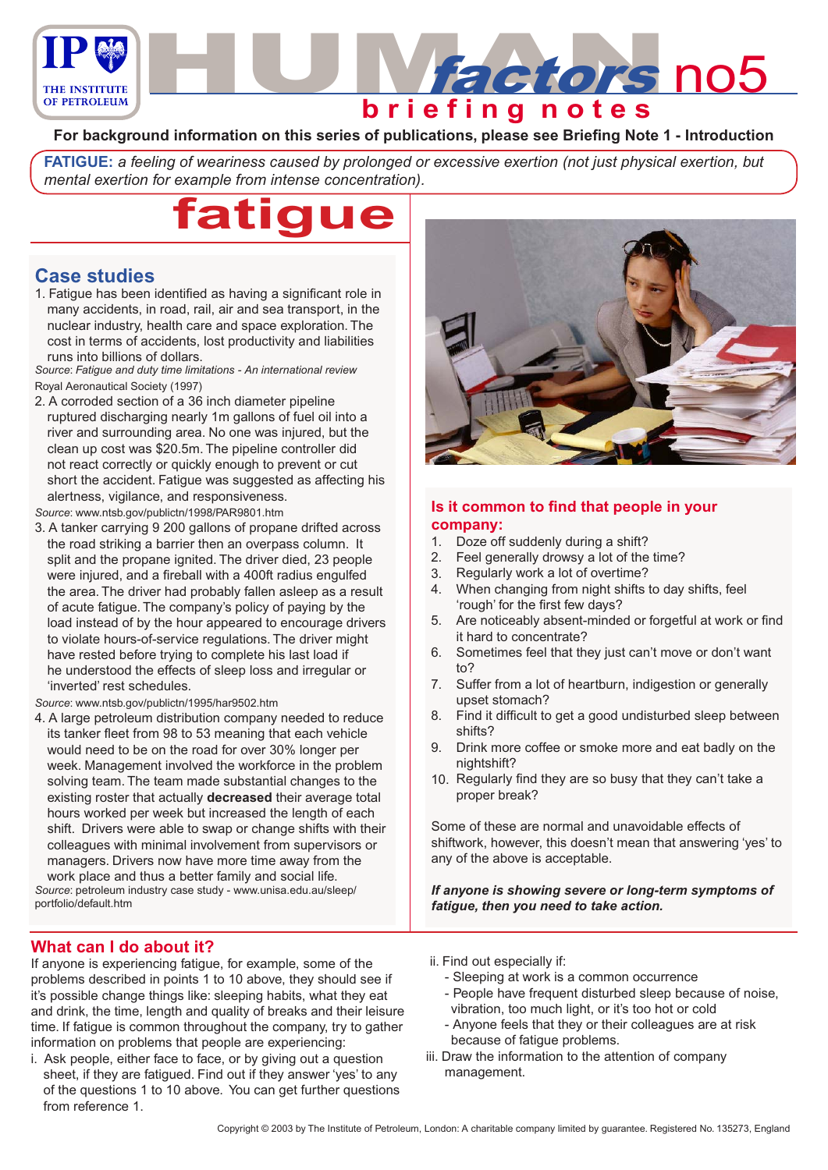

## **For background information on this series of publications, please see Briefing Note 1 - Introduction**

**FATIGUE:** *a feeling of weariness caused by prolonged or excessive exertion (not just physical exertion, but mental exertion for example from intense concentration).*



# **Case studies**

1. Fatigue has been identified as having a significant role in many accidents, in road, rail, air and sea transport, in the nuclear industry, health care and space exploration. The cost in terms of accidents, lost productivity and liabilities runs into billions of dollars.

*Source*: *Fatigue and duty time limitations - An international review* Royal Aeronautical Society (1997)

2. A corroded section of a 36 inch diameter pipeline ruptured discharging nearly 1m gallons of fuel oil into a river and surrounding area. No one was injured, but the clean up cost was \$20.5m. The pipeline controller did not react correctly or quickly enough to prevent or cut short the accident. Fatigue was suggested as affecting his alertness, vigilance, and responsiveness.

*Source*: www.ntsb.gov/publictn/1998/PAR9801.htm

3. A tanker carrying 9 200 gallons of propane drifted across the road striking a barrier then an overpass column. It split and the propane ignited. The driver died, 23 people were injured, and a fireball with a 400ft radius engulfed the area. The driver had probably fallen asleep as a result of acute fatigue. The company's policy of paying by the load instead of by the hour appeared to encourage drivers to violate hours-of-service regulations. The driver might have rested before trying to complete his last load if he understood the effects of sleep loss and irregular or 'inverted' rest schedules.

*Source*: www.ntsb.gov/publictn/1995/har9502.htm

4. A large petroleum distribution company needed to reduce its tanker fleet from 98 to 53 meaning that each vehicle would need to be on the road for over 30% longer per week. Management involved the workforce in the problem solving team. The team made substantial changes to the existing roster that actually **decreased** their average total hours worked per week but increased the length of each shift. Drivers were able to swap or change shifts with their colleagues with minimal involvement from supervisors or managers. Drivers now have more time away from the work place and thus a better family and social life. *Source*: petroleum industry case study - www.unisa.edu.au/sleep/ portfolio/default.htm



### **Is it common to find that people in your company:**

- 1. Doze off suddenly during a shift?
- Feel generally drowsy a lot of the time? 2.
- Regularly work a lot of overtime? 3.
- When changing from night shifts to day shifts, feel 'rough' for the first few days? 4.
- Are noticeably absent-minded or forgetful at work or find it hard to concentrate? 5.
- 6. Sometimes feel that they just can't move or don't want  $to$ ?
- Suffer from a lot of heartburn, indigestion or generally upset stomach? 7.
- Find it difficult to get a good undisturbed sleep between shifts? 8.
- Drink more coffee or smoke more and eat badly on the nightshift? 9.
- 10. Regularly find they are so busy that they can't take a proper break?

Some of these are normal and unavoidable effects of shiftwork, however, this doesn't mean that answering 'yes' to any of the above is acceptable.

*If anyone is showing severe or long-term symptoms of fatigue, then you need to take action.*

### **What can I do about it?**

If anyone is experiencing fatigue, for example, some of the problems described in points 1 to 10 above, they should see if it's possible change things like: sleeping habits, what they eat and drink, the time, length and quality of breaks and their leisure time. If fatigue is common throughout the company, try to gather information on problems that people are experiencing:

- i. Ask people, either face to face, or by giving out a question sheet, if they are fatigued. Find out if they answer 'yes' to any of the questions 1 to 10 above. You can get further questions from reference 1.
- ii. Find out especially if:
	- Sleeping at work is a common occurrence
	- People have frequent disturbed sleep because of noise, vibration, too much light, or it's too hot or cold
	- Anyone feels that they or their colleagues are at risk because of fatigue problems.
- iii. Draw the information to the attention of company management.